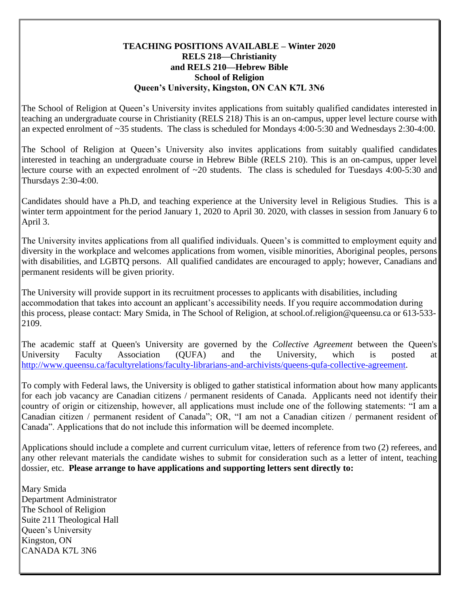## **TEACHING POSITIONS AVAILABLE – Winter 2020 RELS 218—Christianity and RELS 210—Hebrew Bible School of Religion Queen's University, Kingston, ON CAN K7L 3N6**

The School of Religion at Queen's University invites applications from suitably qualified candidates interested in teaching an undergraduate course in Christianity (RELS 218*)* This is an on-campus, upper level lecture course with an expected enrolment of ~35 students. The class is scheduled for Mondays 4:00-5:30 and Wednesdays 2:30-4:00.

The School of Religion at Queen's University also invites applications from suitably qualified candidates interested in teaching an undergraduate course in Hebrew Bible (RELS 210). This is an on-campus, upper level lecture course with an expected enrolment of ~20 students. The class is scheduled for Tuesdays 4:00-5:30 and Thursdays 2:30-4:00.

Candidates should have a Ph.D, and teaching experience at the University level in Religious Studies. This is a winter term appointment for the period January 1, 2020 to April 30. 2020, with classes in session from January 6 to April 3.

The University invites applications from all qualified individuals. Queen's is committed to employment equity and diversity in the workplace and welcomes applications from women, visible minorities, Aboriginal peoples, persons with disabilities, and LGBTQ persons. All qualified candidates are encouraged to apply; however, Canadians and permanent residents will be given priority.

The University will provide support in its recruitment processes to applicants with disabilities, including accommodation that takes into account an applicant's accessibility needs. If you require accommodation during this process, please contact: Mary Smida, in The School of Religion, at school.of.religion@queensu.ca or 613-533- 2109.

The academic staff at Queen's University are governed by the *Collective Agreement* between the Queen's University Faculty Association (QUFA) and the University, which is posted at [http://www.queensu.ca/facultyrelations/faculty-librarians-and-archivists/queens-qufa-collective-agreement.](http://www.queensu.ca/facultyrelations/faculty-librarians-and-archivists/queens-qufa-collective-agreement)

To comply with Federal laws, the University is obliged to gather statistical information about how many applicants for each job vacancy are Canadian citizens / permanent residents of Canada. Applicants need not identify their country of origin or citizenship, however, all applications must include one of the following statements: "I am a Canadian citizen / permanent resident of Canada"; OR, "I am not a Canadian citizen / permanent resident of Canada". Applications that do not include this information will be deemed incomplete.

Applications should include a complete and current curriculum vitae, letters of reference from two (2) referees, and any other relevant materials the candidate wishes to submit for consideration such as a letter of intent, teaching dossier, etc. **Please arrange to have applications and supporting letters sent directly to:**

Mary Smida Department Administrator The School of Religion Suite 211 Theological Hall Queen's University Kingston, ON CANADA K7L 3N6